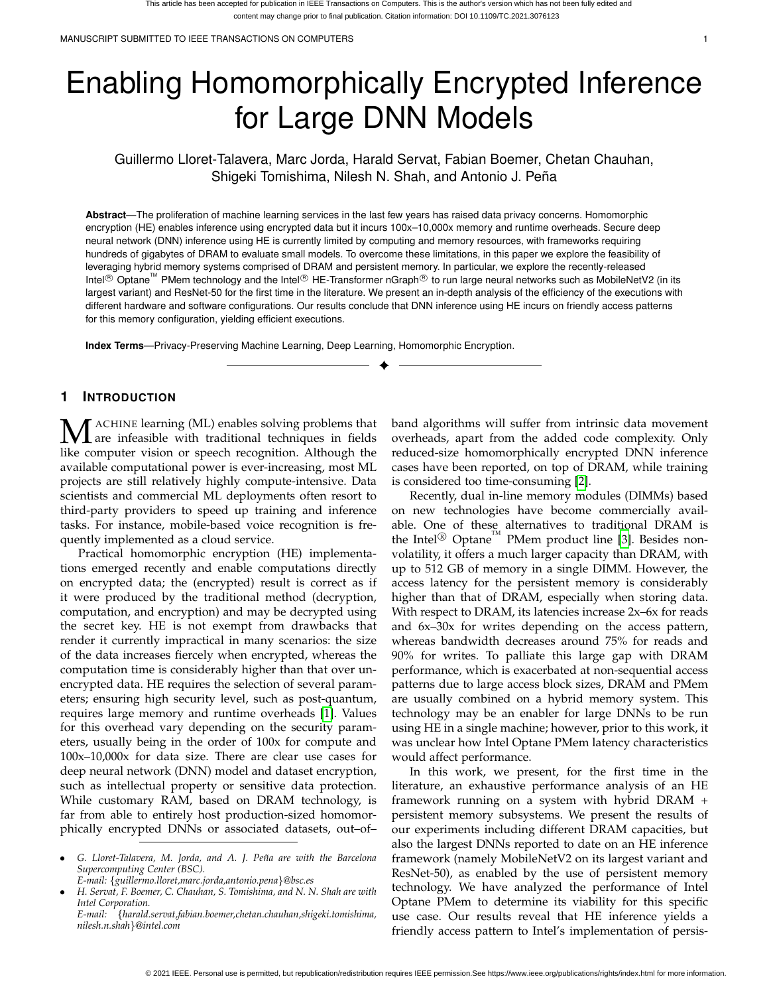# Enabling Homomorphically Encrypted Inference for Large DNN Models

Guillermo Lloret-Talavera, Marc Jorda, Harald Servat, Fabian Boemer, Chetan Chauhan, Shigeki Tomishima, Nilesh N. Shah, and Antonio J. Peña

**Abstract**—The proliferation of machine learning services in the last few years has raised data privacy concerns. Homomorphic encryption (HE) enables inference using encrypted data but it incurs 100x–10,000x memory and runtime overheads. Secure deep neural network (DNN) inference using HE is currently limited by computing and memory resources, with frameworks requiring hundreds of gigabytes of DRAM to evaluate small models. To overcome these limitations, in this paper we explore the feasibility of leveraging hybrid memory systems comprised of DRAM and persistent memory. In particular, we explore the recently-released Intel<sup>®</sup> Optane<sup>™</sup> PMem technology and the Intel<sup>®</sup> HE-Transformer nGraph<sup>®</sup> to run large neural networks such as MobileNetV2 (in its largest variant) and ResNet-50 for the first time in the literature. We present an in-depth analysis of the efficiency of the executions with different hardware and software configurations. Our results conclude that DNN inference using HE incurs on friendly access patterns for this memory configuration, yielding efficient executions.

✦

**Index Terms**—Privacy-Preserving Machine Learning, Deep Learning, Homomorphic Encryption.

# **1 INTRODUCTION**

**M** ACHINE learning (ML) enables solving problems that are infeasible with traditional techniques in fields like computer vision or speech recognition. Although the like computer vision or speech recognition. Although the available computational power is ever-increasing, most ML projects are still relatively highly compute-intensive. Data scientists and commercial ML deployments often resort to third-party providers to speed up training and inference tasks. For instance, mobile-based voice recognition is frequently implemented as a cloud service.

Practical homomorphic encryption (HE) implementations emerged recently and enable computations directly on encrypted data; the (encrypted) result is correct as if it were produced by the traditional method (decryption, computation, and encryption) and may be decrypted using the secret key. HE is not exempt from drawbacks that render it currently impractical in many scenarios: the size of the data increases fiercely when encrypted, whereas the computation time is considerably higher than that over unencrypted data. HE requires the selection of several parameters; ensuring high security level, such as post-quantum, requires large memory and runtime overheads [\[1\]](#page-9-0). Values for this overhead vary depending on the security parameters, usually being in the order of 100x for compute and 100x–10,000x for data size. There are clear use cases for deep neural network (DNN) model and dataset encryption, such as intellectual property or sensitive data protection. While customary RAM, based on DRAM technology, is far from able to entirely host production-sized homomorphically encrypted DNNs or associated datasets, out–of– band algorithms will suffer from intrinsic data movement overheads, apart from the added code complexity. Only reduced-size homomorphically encrypted DNN inference cases have been reported, on top of DRAM, while training is considered too time-consuming [\[2\]](#page-9-1).

Recently, dual in-line memory modules (DIMMs) based on new technologies have become commercially available. One of these alternatives to traditional DRAM is the Intel<sup>®</sup> Optane<sup>™</sup> PMem product line [\[3\]](#page-9-2). Besides nonvolatility, it offers a much larger capacity than DRAM, with up to 512 GB of memory in a single DIMM. However, the access latency for the persistent memory is considerably higher than that of DRAM, especially when storing data. With respect to DRAM, its latencies increase 2x–6x for reads and 6x–30x for writes depending on the access pattern, whereas bandwidth decreases around 75% for reads and 90% for writes. To palliate this large gap with DRAM performance, which is exacerbated at non-sequential access patterns due to large access block sizes, DRAM and PMem are usually combined on a hybrid memory system. This technology may be an enabler for large DNNs to be run using HE in a single machine; however, prior to this work, it was unclear how Intel Optane PMem latency characteristics would affect performance.

In this work, we present, for the first time in the literature, an exhaustive performance analysis of an HE framework running on a system with hybrid DRAM + persistent memory subsystems. We present the results of our experiments including different DRAM capacities, but also the largest DNNs reported to date on an HE inference framework (namely MobileNetV2 on its largest variant and ResNet-50), as enabled by the use of persistent memory technology. We have analyzed the performance of Intel Optane PMem to determine its viability for this specific use case. Our results reveal that HE inference yields a friendly access pattern to Intel's implementation of persis-

<sup>•</sup> *G. Lloret-Talavera, M. Jorda, and A. J. Pe ˜na are with the Barcelona Supercomputing Center (BSC).*

*E-mail:* {*guillermo.lloret,marc.jorda,antonio.pena*}*@bsc.es*

<sup>•</sup> *H. Servat, F. Boemer, C. Chauhan, S. Tomishima, and N. N. Shah are with Intel Corporation.*

*E-mail:* {*harald.servat,fabian.boemer,chetan.chauhan,shigeki.tomishima, nilesh.n.shah*}*@intel.com*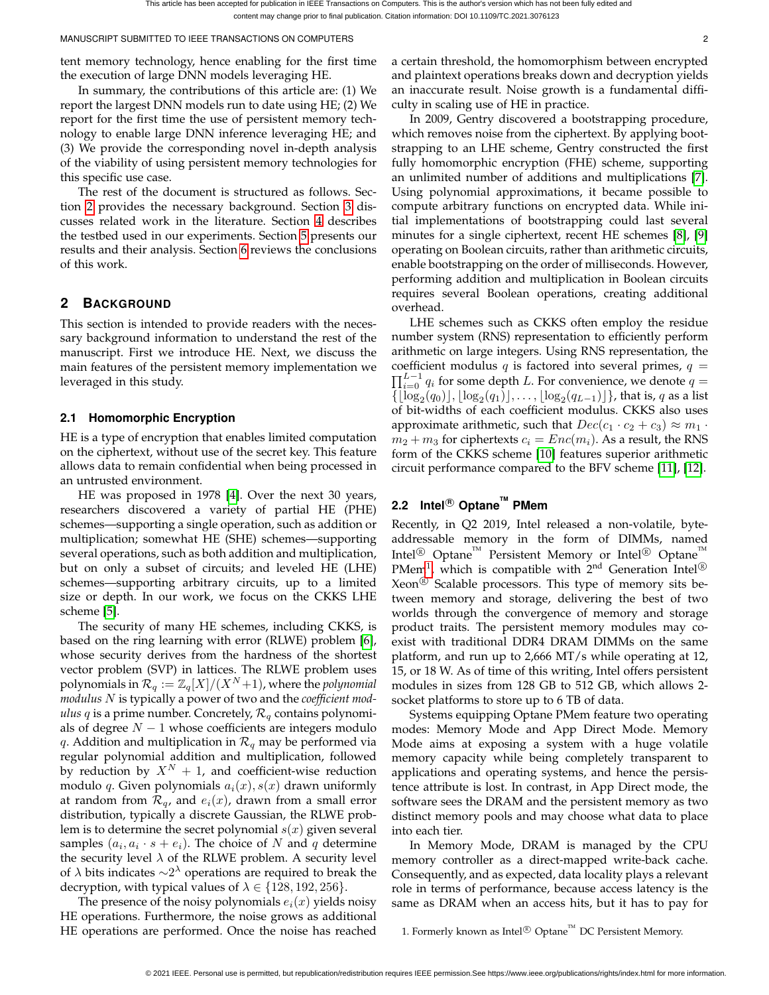tent memory technology, hence enabling for the first time the execution of large DNN models leveraging HE.

In summary, the contributions of this article are: (1) We report the largest DNN models run to date using HE; (2) We report for the first time the use of persistent memory technology to enable large DNN inference leveraging HE; and (3) We provide the corresponding novel in-depth analysis of the viability of using persistent memory technologies for this specific use case.

The rest of the document is structured as follows. Section [2](#page-1-0) provides the necessary background. Section [3](#page-2-0) discusses related work in the literature. Section [4](#page-2-1) describes the testbed used in our experiments. Section [5](#page-4-0) presents our results and their analysis. Section [6](#page-8-0) reviews the conclusions of this work.

# <span id="page-1-0"></span>**2 BACKGROUND**

This section is intended to provide readers with the necessary background information to understand the rest of the manuscript. First we introduce HE. Next, we discuss the main features of the persistent memory implementation we leveraged in this study.

## **2.1 Homomorphic Encryption**

HE is a type of encryption that enables limited computation on the ciphertext, without use of the secret key. This feature allows data to remain confidential when being processed in an untrusted environment.

HE was proposed in 1978 [\[4\]](#page-9-3). Over the next 30 years, researchers discovered a variety of partial HE (PHE) schemes—supporting a single operation, such as addition or multiplication; somewhat HE (SHE) schemes—supporting several operations, such as both addition and multiplication, but on only a subset of circuits; and leveled HE (LHE) schemes—supporting arbitrary circuits, up to a limited size or depth. In our work, we focus on the CKKS LHE scheme [\[5\]](#page-9-4).

The security of many HE schemes, including CKKS, is based on the ring learning with error (RLWE) problem [\[6\]](#page-9-5), whose security derives from the hardness of the shortest vector problem (SVP) in lattices. The RLWE problem uses polynomials in  $\mathcal{R}_q := \mathbb{Z}_q[X]/(X^N+1)$ , where the *polynomial modulus* N is typically a power of two and the *coefficient modulus*  $q$  is a prime number. Concretely,  $\mathcal{R}_q$  contains polynomials of degree  $N - 1$  whose coefficients are integers modulo q. Addition and multiplication in  $\mathcal{R}_q$  may be performed via regular polynomial addition and multiplication, followed by reduction by  $X^N + 1$ , and coefficient-wise reduction modulo q. Given polynomials  $a_i(x)$ ,  $s(x)$  drawn uniformly at random from  $\mathcal{R}_q$ , and  $e_i(x)$ , drawn from a small error distribution, typically a discrete Gaussian, the RLWE problem is to determine the secret polynomial  $s(x)$  given several samples  $(a_i, a_i \cdot s + e_i)$ . The choice of N and q determine the security level  $\lambda$  of the RLWE problem. A security level of  $\lambda$  bits indicates  $\sim$ 2<sup> $\lambda$ </sup> operations are required to break the decryption, with typical values of  $\lambda \in \{128, 192, 256\}.$ 

The presence of the noisy polynomials  $e_i(x)$  yields noisy HE operations. Furthermore, the noise grows as additional HE operations are performed. Once the noise has reached a certain threshold, the homomorphism between encrypted and plaintext operations breaks down and decryption yields an inaccurate result. Noise growth is a fundamental difficulty in scaling use of HE in practice.

In 2009, Gentry discovered a bootstrapping procedure, which removes noise from the ciphertext. By applying bootstrapping to an LHE scheme, Gentry constructed the first fully homomorphic encryption (FHE) scheme, supporting an unlimited number of additions and multiplications [\[7\]](#page-9-6). Using polynomial approximations, it became possible to compute arbitrary functions on encrypted data. While initial implementations of bootstrapping could last several minutes for a single ciphertext, recent HE schemes [\[8\]](#page-9-7), [\[9\]](#page-9-8) operating on Boolean circuits, rather than arithmetic circuits, enable bootstrapping on the order of milliseconds. However, performing addition and multiplication in Boolean circuits requires several Boolean operations, creating additional overhead.

LHE schemes such as CKKS often employ the residue number system (RNS) representation to efficiently perform arithmetic on large integers. Using RNS representation, the coefficient modulus q is factored into several primes,  $q =$  $\prod_{i=0}^{L-1} q_i$  for some depth L. For convenience, we denote  $q =$  $\{ \lfloor \log_2(q_0) \rfloor, \lfloor \log_2(q_1) \rfloor, \ldots, \lfloor \log_2(q_{L-1}) \rfloor \}$ , that is, q as a list of bit-widths of each coefficient modulus. CKKS also uses approximate arithmetic, such that  $Dec(c_1 \cdot c_2 + c_3) \approx m_1 \cdot$  $m_2 + m_3$  for ciphertexts  $c_i = Enc(m_i)$ . As a result, the RNS form of the CKKS scheme [\[10\]](#page-9-9) features superior arithmetic circuit performance compared to the BFV scheme [\[11\]](#page-9-10), [\[12\]](#page-9-11).

# **2.2 Intel <sup>R</sup> OptaneTM PMem**

Recently, in Q2 2019, Intel released a non-volatile, byteaddressable memory in the form of DIMMs, named Intel<sup>®</sup> Optane<sup>™</sup> Persistent Memory or Intel<sup>®</sup> Optane<sup>™</sup> PMem<sup>[1](#page-1-1)</sup>, which is compatible with  $2^{nd}$  Generation Intel<sup>®</sup> Xeon<sup>®</sup> Scalable processors. This type of memory sits between memory and storage, delivering the best of two worlds through the convergence of memory and storage product traits. The persistent memory modules may coexist with traditional DDR4 DRAM DIMMs on the same platform, and run up to 2,666 MT/s while operating at 12, 15, or 18 W. As of time of this writing, Intel offers persistent modules in sizes from 128 GB to 512 GB, which allows 2 socket platforms to store up to 6 TB of data.

Systems equipping Optane PMem feature two operating modes: Memory Mode and App Direct Mode. Memory Mode aims at exposing a system with a huge volatile memory capacity while being completely transparent to applications and operating systems, and hence the persistence attribute is lost. In contrast, in App Direct mode, the software sees the DRAM and the persistent memory as two distinct memory pools and may choose what data to place into each tier.

In Memory Mode, DRAM is managed by the CPU memory controller as a direct-mapped write-back cache. Consequently, and as expected, data locality plays a relevant role in terms of performance, because access latency is the same as DRAM when an access hits, but it has to pay for

<span id="page-1-1"></span>1. Formerly known as Intel $\mathcal{L}$  Optane<sup>™</sup> DC Persistent Memory.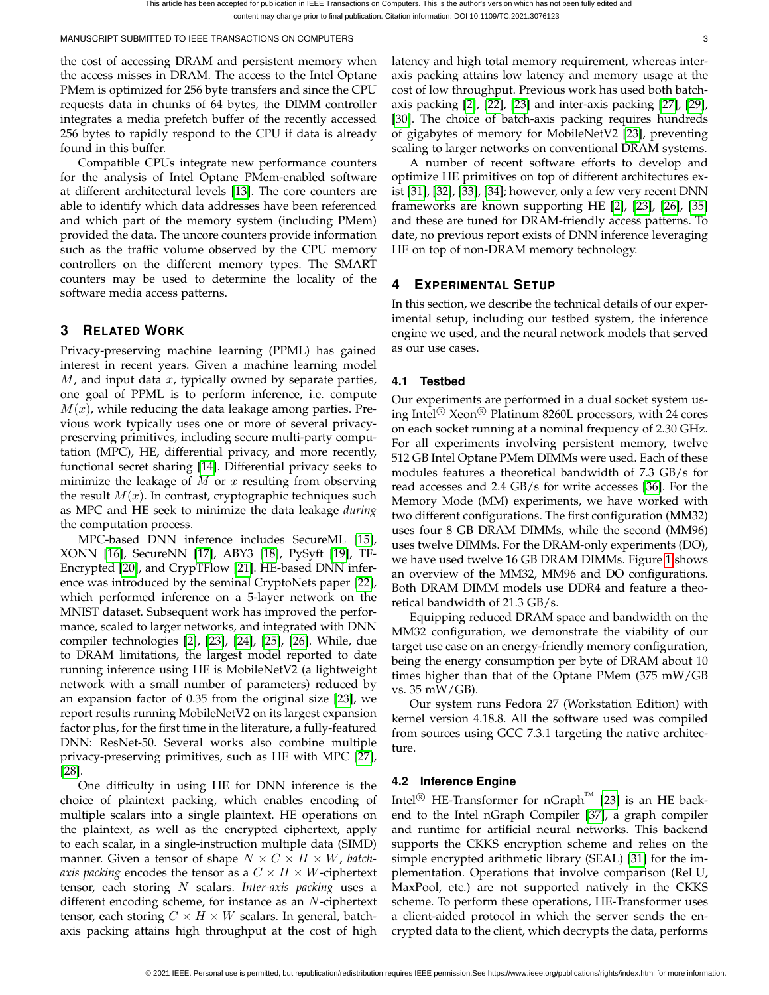MANUSCRIPT SUBMITTED TO IEEE TRANSACTIONS ON COMPUTERS 33 AND 32 STATES AND THE SUBMITTED TO IEEE TRANSACTIONS ON COMPUTERS

the cost of accessing DRAM and persistent memory when the access misses in DRAM. The access to the Intel Optane PMem is optimized for 256 byte transfers and since the CPU requests data in chunks of 64 bytes, the DIMM controller integrates a media prefetch buffer of the recently accessed 256 bytes to rapidly respond to the CPU if data is already found in this buffer.

Compatible CPUs integrate new performance counters for the analysis of Intel Optane PMem-enabled software at different architectural levels [\[13\]](#page-9-12). The core counters are able to identify which data addresses have been referenced and which part of the memory system (including PMem) provided the data. The uncore counters provide information such as the traffic volume observed by the CPU memory controllers on the different memory types. The SMART counters may be used to determine the locality of the software media access patterns.

# <span id="page-2-0"></span>**3 RELATED WORK**

Privacy-preserving machine learning (PPML) has gained interest in recent years. Given a machine learning model  $M$ , and input data  $x$ , typically owned by separate parties, one goal of PPML is to perform inference, i.e. compute  $M(x)$ , while reducing the data leakage among parties. Previous work typically uses one or more of several privacypreserving primitives, including secure multi-party computation (MPC), HE, differential privacy, and more recently, functional secret sharing [\[14\]](#page-9-13). Differential privacy seeks to minimize the leakage of  $M$  or  $x$  resulting from observing the result  $M(x)$ . In contrast, cryptographic techniques such as MPC and HE seek to minimize the data leakage *during* the computation process.

MPC-based DNN inference includes SecureML [\[15\]](#page-9-14), XONN [\[16\]](#page-9-15), SecureNN [\[17\]](#page-9-16), ABY3 [\[18\]](#page-9-17), PySyft [\[19\]](#page-9-18), TF-Encrypted [\[20\]](#page-9-19), and CrypTFlow [\[21\]](#page-9-20). HE-based DNN inference was introduced by the seminal CryptoNets paper [\[22\]](#page-9-21), which performed inference on a 5-layer network on the MNIST dataset. Subsequent work has improved the performance, scaled to larger networks, and integrated with DNN compiler technologies [\[2\]](#page-9-1), [\[23\]](#page-9-22), [\[24\]](#page-9-23), [\[25\]](#page-9-24), [\[26\]](#page-9-25). While, due to DRAM limitations, the largest model reported to date running inference using HE is MobileNetV2 (a lightweight network with a small number of parameters) reduced by an expansion factor of 0.35 from the original size [\[23\]](#page-9-22), we report results running MobileNetV2 on its largest expansion factor plus, for the first time in the literature, a fully-featured DNN: ResNet-50. Several works also combine multiple privacy-preserving primitives, such as HE with MPC [\[27\]](#page-9-26), [\[28\]](#page-9-27).

One difficulty in using HE for DNN inference is the choice of plaintext packing, which enables encoding of multiple scalars into a single plaintext. HE operations on the plaintext, as well as the encrypted ciphertext, apply to each scalar, in a single-instruction multiple data (SIMD) manner. Given a tensor of shape  $N \times C \times H \times W$ , *batchaxis packing* encodes the tensor as a  $C \times H \times W$ -ciphertext tensor, each storing N scalars. *Inter-axis packing* uses a different encoding scheme, for instance as an N-ciphertext tensor, each storing  $C \times H \times W$  scalars. In general, batchaxis packing attains high throughput at the cost of high

latency and high total memory requirement, whereas interaxis packing attains low latency and memory usage at the cost of low throughput. Previous work has used both batchaxis packing [\[2\]](#page-9-1), [\[22\]](#page-9-21), [\[23\]](#page-9-22) and inter-axis packing [\[27\]](#page-9-26), [\[29\]](#page-9-28), [\[30\]](#page-9-29). The choice of batch-axis packing requires hundreds of gigabytes of memory for MobileNetV2 [\[23\]](#page-9-22), preventing scaling to larger networks on conventional DRAM systems.

A number of recent software efforts to develop and optimize HE primitives on top of different architectures exist [\[31\]](#page-9-30), [\[32\]](#page-9-31), [\[33\]](#page-9-32), [\[34\]](#page-9-33); however, only a few very recent DNN frameworks are known supporting HE [\[2\]](#page-9-1), [\[23\]](#page-9-22), [\[26\]](#page-9-25), [\[35\]](#page-9-34) and these are tuned for DRAM-friendly access patterns. To date, no previous report exists of DNN inference leveraging HE on top of non-DRAM memory technology.

# <span id="page-2-1"></span>**4 EXPERIMENTAL SETUP**

In this section, we describe the technical details of our experimental setup, including our testbed system, the inference engine we used, and the neural network models that served as our use cases.

# **4.1 Testbed**

Our experiments are performed in a dual socket system using Intel<sup>( $\&$ </sup>) Xeon<sup>( $\&$ </sup>) Platinum 8260L processors, with 24 cores on each socket running at a nominal frequency of 2.30 GHz. For all experiments involving persistent memory, twelve 512 GB Intel Optane PMem DIMMs were used. Each of these modules features a theoretical bandwidth of 7.3 GB/s for read accesses and 2.4 GB/s for write accesses [\[36\]](#page-9-35). For the Memory Mode (MM) experiments, we have worked with two different configurations. The first configuration (MM32) uses four 8 GB DRAM DIMMs, while the second (MM96) uses twelve DIMMs. For the DRAM-only experiments (DO), we have used twelve 16 GB DRAM DIMMs. Figure [1](#page-3-0) shows an overview of the MM32, MM96 and DO configurations. Both DRAM DIMM models use DDR4 and feature a theoretical bandwidth of 21.3 GB/s.

Equipping reduced DRAM space and bandwidth on the MM32 configuration, we demonstrate the viability of our target use case on an energy-friendly memory configuration, being the energy consumption per byte of DRAM about 10 times higher than that of the Optane PMem (375 mW/GB vs. 35 mW/GB).

Our system runs Fedora 27 (Workstation Edition) with kernel version 4.18.8. All the software used was compiled from sources using GCC 7.3.1 targeting the native architecture.

# <span id="page-2-2"></span>**4.2 Inference Engine**

Intel<sup>®</sup> HE-Transformer for nGraph<sup>™</sup> [\[23\]](#page-9-22) is an HE backend to the Intel nGraph Compiler [\[37\]](#page-9-36), a graph compiler and runtime for artificial neural networks. This backend supports the CKKS encryption scheme and relies on the simple encrypted arithmetic library (SEAL) [\[31\]](#page-9-30) for the implementation. Operations that involve comparison (ReLU, MaxPool, etc.) are not supported natively in the CKKS scheme. To perform these operations, HE-Transformer uses a client-aided protocol in which the server sends the encrypted data to the client, which decrypts the data, performs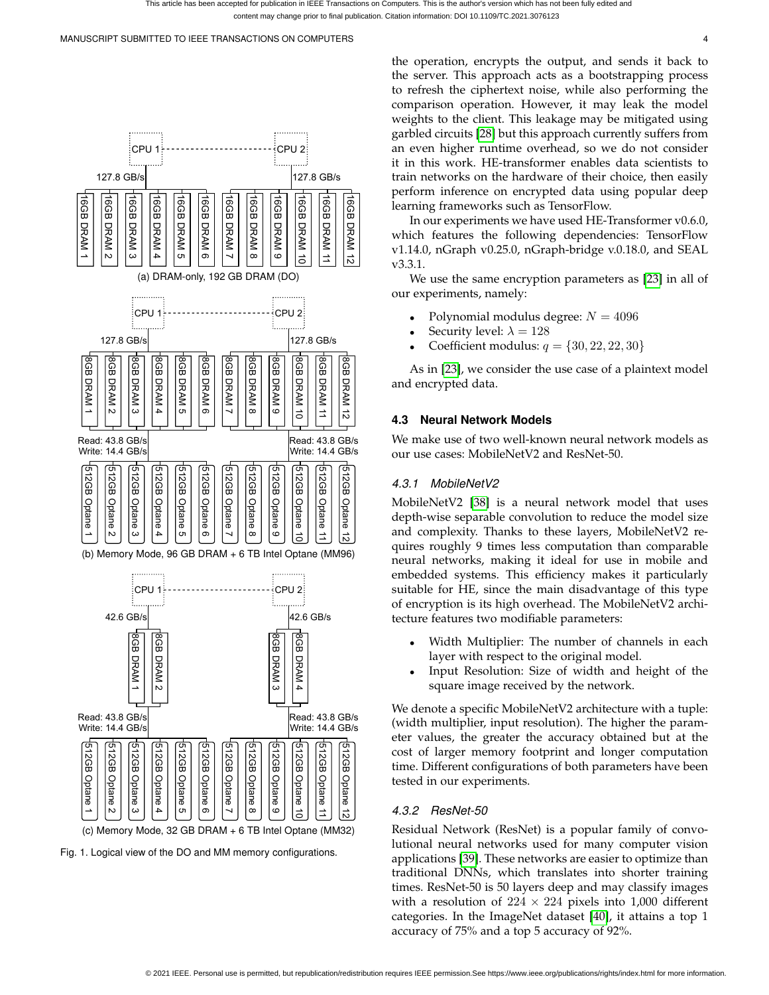

<span id="page-3-1"></span><span id="page-3-0"></span>Fig. 1. Logical view of the DO and MM memory configurations.

the operation, encrypts the output, and sends it back to the server. This approach acts as a bootstrapping process to refresh the ciphertext noise, while also performing the comparison operation. However, it may leak the model weights to the client. This leakage may be mitigated using garbled circuits [\[28\]](#page-9-27) but this approach currently suffers from an even higher runtime overhead, so we do not consider it in this work. HE-transformer enables data scientists to train networks on the hardware of their choice, then easily perform inference on encrypted data using popular deep learning frameworks such as TensorFlow.

In our experiments we have used HE-Transformer v0.6.0, which features the following dependencies: TensorFlow v1.14.0, nGraph v0.25.0, nGraph-bridge v.0.18.0, and SEAL v3.3.1.

We use the same encryption parameters as [\[23\]](#page-9-22) in all of our experiments, namely:

- Polynomial modulus degree:  $N = 4096$
- Security level:  $\lambda = 128$
- Coefficient modulus:  $q = \{30, 22, 22, 30\}$

As in [\[23\]](#page-9-22), we consider the use case of a plaintext model and encrypted data.

## **4.3 Neural Network Models**

We make use of two well-known neural network models as our use cases: MobileNetV2 and ResNet-50.

## *4.3.1 MobileNetV2*

MobileNetV2 [\[38\]](#page-9-37) is a neural network model that uses depth-wise separable convolution to reduce the model size and complexity. Thanks to these layers, MobileNetV2 requires roughly 9 times less computation than comparable neural networks, making it ideal for use in mobile and embedded systems. This efficiency makes it particularly suitable for HE, since the main disadvantage of this type of encryption is its high overhead. The MobileNetV2 architecture features two modifiable parameters:

- Width Multiplier: The number of channels in each layer with respect to the original model.
- Input Resolution: Size of width and height of the square image received by the network.

We denote a specific MobileNetV2 architecture with a tuple: (width multiplier, input resolution). The higher the parameter values, the greater the accuracy obtained but at the cost of larger memory footprint and longer computation time. Different configurations of both parameters have been tested in our experiments.

## *4.3.2 ResNet-50*

Residual Network (ResNet) is a popular family of convolutional neural networks used for many computer vision applications [\[39\]](#page-9-38). These networks are easier to optimize than traditional DNNs, which translates into shorter training times. ResNet-50 is 50 layers deep and may classify images with a resolution of  $224 \times 224$  pixels into 1,000 different categories. In the ImageNet dataset [\[40\]](#page-9-39), it attains a top 1 accuracy of 75% and a top 5 accuracy of 92%.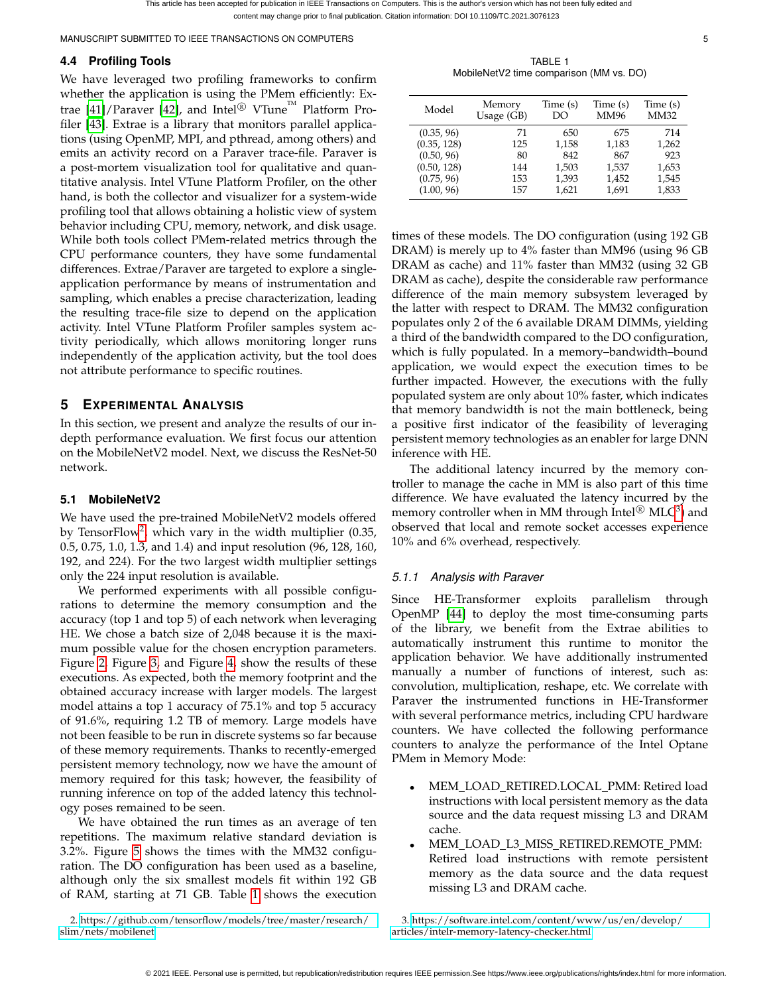# **4.4 Profiling Tools**

We have leveraged two profiling frameworks to confirm whether the application is using the PMem efficiently: Ex-trae [\[41\]](#page-9-40)/Paraver [\[42\]](#page-9-41), and Intel<sup>®</sup> VTune<sup>™</sup> Platform Profiler [\[43\]](#page-10-0). Extrae is a library that monitors parallel applications (using OpenMP, MPI, and pthread, among others) and emits an activity record on a Paraver trace-file. Paraver is a post-mortem visualization tool for qualitative and quantitative analysis. Intel VTune Platform Profiler, on the other hand, is both the collector and visualizer for a system-wide profiling tool that allows obtaining a holistic view of system behavior including CPU, memory, network, and disk usage. While both tools collect PMem-related metrics through the CPU performance counters, they have some fundamental differences. Extrae/Paraver are targeted to explore a singleapplication performance by means of instrumentation and sampling, which enables a precise characterization, leading the resulting trace-file size to depend on the application activity. Intel VTune Platform Profiler samples system activity periodically, which allows monitoring longer runs independently of the application activity, but the tool does not attribute performance to specific routines.

# <span id="page-4-0"></span>**5 EXPERIMENTAL ANALYSIS**

In this section, we present and analyze the results of our indepth performance evaluation. We first focus our attention on the MobileNetV2 model. Next, we discuss the ResNet-50 network.

# <span id="page-4-5"></span>**5.1 MobileNetV2**

We have used the pre-trained MobileNetV2 models offered by TensorFlow<sup>[2](#page-4-1)</sup>, which vary in the width multiplier (0.35, 0.5, 0.75, 1.0, 1.3, and 1.4) and input resolution (96, 128, 160, 192, and 224). For the two largest width multiplier settings only the 224 input resolution is available.

We performed experiments with all possible configurations to determine the memory consumption and the accuracy (top 1 and top 5) of each network when leveraging HE. We chose a batch size of 2,048 because it is the maximum possible value for the chosen encryption parameters. Figure [2,](#page-5-0) Figure [3,](#page-5-1) and Figure [4,](#page-5-2) show the results of these executions. As expected, both the memory footprint and the obtained accuracy increase with larger models. The largest model attains a top 1 accuracy of 75.1% and top 5 accuracy of 91.6%, requiring 1.2 TB of memory. Large models have not been feasible to be run in discrete systems so far because of these memory requirements. Thanks to recently-emerged persistent memory technology, now we have the amount of memory required for this task; however, the feasibility of running inference on top of the added latency this technology poses remained to be seen.

We have obtained the run times as an average of ten repetitions. The maximum relative standard deviation is 3.2%. Figure [5](#page-5-3) shows the times with the MM32 configuration. The DO configuration has been used as a baseline, although only the six smallest models fit within 192 GB of RAM, starting at 71 GB. Table [1](#page-4-2) shows the execution

<span id="page-4-1"></span>2. [https://github.com/tensorflow/models/tree/master/research/](https://github.com/tensorflow/models/tree/master/research/slim/nets/mobilenet) [slim/nets/mobilenet](https://github.com/tensorflow/models/tree/master/research/slim/nets/mobilenet)

TABLE 1 MobileNetV2 time comparison (MM vs. DO)

<span id="page-4-2"></span>

| Model       | Memory       | Time (s) | Time (s) | Time (s)    |
|-------------|--------------|----------|----------|-------------|
|             | Usage $(GB)$ | DO       | MM96     | <b>MM32</b> |
| (0.35, 96)  | 71           | 650      | 675      | 714         |
| (0.35, 128) | 125          | 1,158    | 1,183    | 1,262       |
| (0.50, 96)  | 80           | 842      | 867      | 923         |
| (0.50, 128) | 144          | 1,503    | 1,537    | 1,653       |
| (0.75, 96)  | 153          | 1,393    | 1,452    | 1,545       |
| (1.00, 96)  | 157          | 1,621    | 1,691    | 1,833       |

times of these models. The DO configuration (using 192 GB DRAM) is merely up to 4% faster than MM96 (using 96 GB DRAM as cache) and 11% faster than MM32 (using 32 GB DRAM as cache), despite the considerable raw performance difference of the main memory subsystem leveraged by the latter with respect to DRAM. The MM32 configuration populates only 2 of the 6 available DRAM DIMMs, yielding a third of the bandwidth compared to the DO configuration, which is fully populated. In a memory–bandwidth–bound application, we would expect the execution times to be further impacted. However, the executions with the fully populated system are only about 10% faster, which indicates that memory bandwidth is not the main bottleneck, being a positive first indicator of the feasibility of leveraging persistent memory technologies as an enabler for large DNN inference with HE.

The additional latency incurred by the memory controller to manage the cache in MM is also part of this time difference. We have evaluated the latency incurred by the memory controller when in MM through  $\mathrm{Intel}^{\circledR}\ \mathrm{MLC}^3)$  $\mathrm{Intel}^{\circledR}\ \mathrm{MLC}^3)$  $\mathrm{Intel}^{\circledR}\ \mathrm{MLC}^3)$  and observed that local and remote socket accesses experience 10% and 6% overhead, respectively.

# <span id="page-4-4"></span>*5.1.1 Analysis with Paraver*

Since HE-Transformer exploits parallelism through OpenMP [\[44\]](#page-10-1) to deploy the most time-consuming parts of the library, we benefit from the Extrae abilities to automatically instrument this runtime to monitor the application behavior. We have additionally instrumented manually a number of functions of interest, such as: convolution, multiplication, reshape, etc. We correlate with Paraver the instrumented functions in HE-Transformer with several performance metrics, including CPU hardware counters. We have collected the following performance counters to analyze the performance of the Intel Optane PMem in Memory Mode:

- MEM LOAD RETIRED.LOCAL PMM: Retired load instructions with local persistent memory as the data source and the data request missing L3 and DRAM cache.
- MEM LOAD L3 MISS RETIRED.REMOTE PMM: Retired load instructions with remote persistent memory as the data source and the data request missing L3 and DRAM cache.

<span id="page-4-3"></span>3. [https://software.intel.com/content/www/us/en/develop/](https://software.intel.com/content/www/us/en/develop/articles/intelr-memory-latency-checker.html) [articles/intelr-memory-latency-checker.html](https://software.intel.com/content/www/us/en/develop/articles/intelr-memory-latency-checker.html)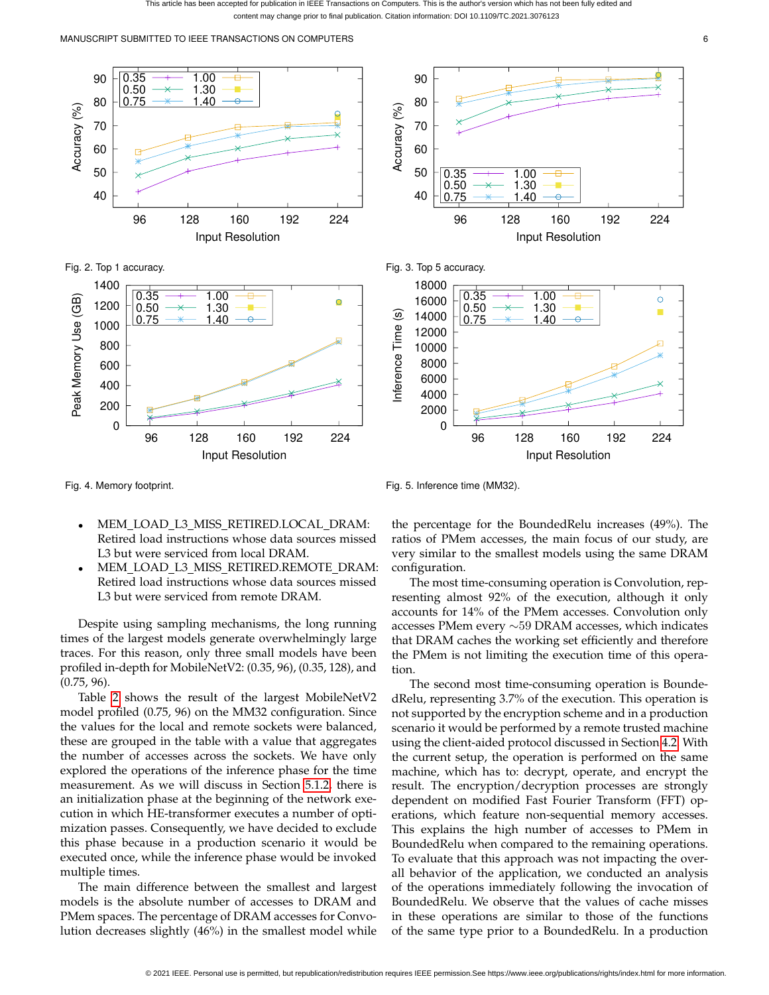been accepted for publication in IEEE Transactions on Computers. This is the author's version which has not been fully edited and content may change prior to final publication. Citation information: DOI 10.1109/TC.2021.3076123

MANUSCRIPT SUBMITTED TO IEEE TRANSACTIONS ON COMPUTERS 6

<span id="page-5-0"></span>



<span id="page-5-1"></span>Fig. 3. Top 5 accuracy.



<span id="page-5-2"></span>Fig. 4. Memory footprint.

<span id="page-5-3"></span>Fig. 5. Inference time (MM32).

- MEM LOAD L3 MISS RETIRED.LOCAL DRAM: Retired load instructions whose data sources missed L3 but were serviced from local DRAM.
- MEM LOAD L3 MISS RETIRED.REMOTE DRAM: Retired load instructions whose data sources missed L3 but were serviced from remote DRAM.

Despite using sampling mechanisms, the long running times of the largest models generate overwhelmingly large traces. For this reason, only three small models have been profiled in-depth for MobileNetV2: (0.35, 96), (0.35, 128), and (0.75, 96).

Table [2](#page-6-0) shows the result of the largest MobileNetV2 model profiled (0.75, 96) on the MM32 configuration. Since the values for the local and remote sockets were balanced, these are grouped in the table with a value that aggregates the number of accesses across the sockets. We have only explored the operations of the inference phase for the time measurement. As we will discuss in Section [5.1.2,](#page-6-1) there is an initialization phase at the beginning of the network execution in which HE-transformer executes a number of optimization passes. Consequently, we have decided to exclude this phase because in a production scenario it would be executed once, while the inference phase would be invoked multiple times.

The main difference between the smallest and largest models is the absolute number of accesses to DRAM and PMem spaces. The percentage of DRAM accesses for Convolution decreases slightly (46%) in the smallest model while

the percentage for the BoundedRelu increases (49%). The ratios of PMem accesses, the main focus of our study, are very similar to the smallest models using the same DRAM configuration.

The most time-consuming operation is Convolution, representing almost 92% of the execution, although it only accounts for 14% of the PMem accesses. Convolution only accesses PMem every ∼59 DRAM accesses, which indicates that DRAM caches the working set efficiently and therefore the PMem is not limiting the execution time of this operation.

The second most time-consuming operation is BoundedRelu, representing 3.7% of the execution. This operation is not supported by the encryption scheme and in a production scenario it would be performed by a remote trusted machine using the client-aided protocol discussed in Section [4.2.](#page-2-2) With the current setup, the operation is performed on the same machine, which has to: decrypt, operate, and encrypt the result. The encryption/decryption processes are strongly dependent on modified Fast Fourier Transform (FFT) operations, which feature non-sequential memory accesses. This explains the high number of accesses to PMem in BoundedRelu when compared to the remaining operations. To evaluate that this approach was not impacting the overall behavior of the application, we conducted an analysis of the operations immediately following the invocation of BoundedRelu. We observe that the values of cache misses in these operations are similar to those of the functions of the same type prior to a BoundedRelu. In a production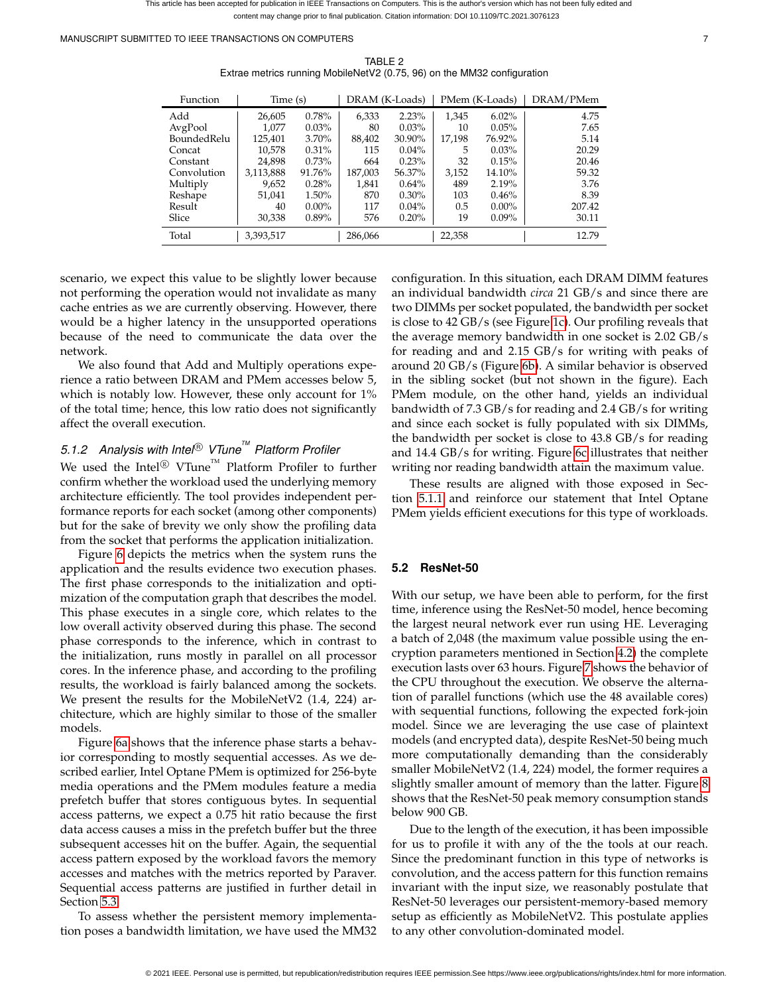This article has been accepted for publication in IEEE Transactions on Computers. This is the author's version which has not been fully edited and content may change prior to final publication. Citation information: DOI 10.1109/TC.2021.3076123

<span id="page-6-0"></span>MANUSCRIPT SUBMITTED TO IEEE TRANSACTIONS ON COMPUTERS 7

| <b>Function</b> | Time (s)  |          | DRAM (K-Loads) |          | PMem (K-Loads) |          | DRAM/PMem |
|-----------------|-----------|----------|----------------|----------|----------------|----------|-----------|
| Add             | 26,605    | 0.78%    | 6.333          | 2.23%    | 1.345          | $6.02\%$ | 4.75      |
| AvgPool         | 1.077     | $0.03\%$ | 80             | 0.03%    | 10             | $0.05\%$ | 7.65      |
| Bounded Relu    | 125,401   | 3.70%    | 88,402         | 30.90%   | 17,198         | 76.92%   | 5.14      |
| Concat          | 10,578    | $0.31\%$ | 115            | $0.04\%$ | 5              | 0.03%    | 20.29     |
| Constant        | 24.898    | $0.73\%$ | 664            | 0.23%    | 32             | 0.15%    | 20.46     |
| Convolution     | 3,113,888 | 91.76%   | 187,003        | 56.37%   | 3,152          | 14.10%   | 59.32     |
| Multiply        | 9,652     | 0.28%    | 1,841          | 0.64%    | 489            | 2.19%    | 3.76      |
| Reshape         | 51.041    | 1.50%    | 870            | $0.30\%$ | 103            | 0.46%    | 8.39      |
| Result          | 40        | $0.00\%$ | 117            | $0.04\%$ | 0.5            | $0.00\%$ | 207.42    |
| Slice           | 30,338    | 0.89%    | 576            | 0.20%    | 19             | $0.09\%$ | 30.11     |
| Total           | 3,393,517 |          | 286,066        |          | 22,358         |          | 12.79     |

TABLE 2 Extrae metrics running MobileNetV2 (0.75, 96) on the MM32 configuration

scenario, we expect this value to be slightly lower because not performing the operation would not invalidate as many cache entries as we are currently observing. However, there would be a higher latency in the unsupported operations because of the need to communicate the data over the network.

We also found that Add and Multiply operations experience a ratio between DRAM and PMem accesses below 5, which is notably low. However, these only account for  $1\%$ of the total time; hence, this low ratio does not significantly affect the overall execution.

# <span id="page-6-1"></span>*5.1.2 Analysis with Intel* <sup>R</sup> *VTuneTM Platform Profiler*

We used the Intel $^{\circledR}$  VTune $^{\text{\tiny{\textsf{TM}}}}$  Platform Profiler to further confirm whether the workload used the underlying memory architecture efficiently. The tool provides independent performance reports for each socket (among other components) but for the sake of brevity we only show the profiling data from the socket that performs the application initialization.

Figure [6](#page-7-0) depicts the metrics when the system runs the application and the results evidence two execution phases. The first phase corresponds to the initialization and optimization of the computation graph that describes the model. This phase executes in a single core, which relates to the low overall activity observed during this phase. The second phase corresponds to the inference, which in contrast to the initialization, runs mostly in parallel on all processor cores. In the inference phase, and according to the profiling results, the workload is fairly balanced among the sockets. We present the results for the MobileNetV2 (1.4, 224) architecture, which are highly similar to those of the smaller models.

Figure [6a](#page-7-1) shows that the inference phase starts a behavior corresponding to mostly sequential accesses. As we described earlier, Intel Optane PMem is optimized for 256-byte media operations and the PMem modules feature a media prefetch buffer that stores contiguous bytes. In sequential access patterns, we expect a 0.75 hit ratio because the first data access causes a miss in the prefetch buffer but the three subsequent accesses hit on the buffer. Again, the sequential access pattern exposed by the workload favors the memory accesses and matches with the metrics reported by Paraver. Sequential access patterns are justified in further detail in Section [5.3.](#page-8-1)

To assess whether the persistent memory implementation poses a bandwidth limitation, we have used the MM32 configuration. In this situation, each DRAM DIMM features an individual bandwidth *circa* 21 GB/s and since there are two DIMMs per socket populated, the bandwidth per socket is close to 42 GB/s (see Figure [1c\)](#page-3-1). Our profiling reveals that the average memory bandwidth in one socket is 2.02 GB/s for reading and and 2.15 GB/s for writing with peaks of around 20 GB/s (Figure [6b\)](#page-7-2). A similar behavior is observed in the sibling socket (but not shown in the figure). Each PMem module, on the other hand, yields an individual bandwidth of 7.3 GB/s for reading and 2.4 GB/s for writing and since each socket is fully populated with six DIMMs, the bandwidth per socket is close to 43.8 GB/s for reading and 14.4 GB/s for writing. Figure [6c](#page-7-3) illustrates that neither writing nor reading bandwidth attain the maximum value.

These results are aligned with those exposed in Section [5.1.1](#page-4-4) and reinforce our statement that Intel Optane PMem yields efficient executions for this type of workloads.

## <span id="page-6-2"></span>**5.2 ResNet-50**

With our setup, we have been able to perform, for the first time, inference using the ResNet-50 model, hence becoming the largest neural network ever run using HE. Leveraging a batch of 2,048 (the maximum value possible using the encryption parameters mentioned in Section [4.2\)](#page-2-2) the complete execution lasts over 63 hours. Figure [7](#page-8-2) shows the behavior of the CPU throughout the execution. We observe the alternation of parallel functions (which use the 48 available cores) with sequential functions, following the expected fork-join model. Since we are leveraging the use case of plaintext models (and encrypted data), despite ResNet-50 being much more computationally demanding than the considerably smaller MobileNetV2 (1.4, 224) model, the former requires a slightly smaller amount of memory than the latter. Figure [8](#page-8-3) shows that the ResNet-50 peak memory consumption stands below 900 GB.

Due to the length of the execution, it has been impossible for us to profile it with any of the the tools at our reach. Since the predominant function in this type of networks is convolution, and the access pattern for this function remains invariant with the input size, we reasonably postulate that ResNet-50 leverages our persistent-memory-based memory setup as efficiently as MobileNetV2. This postulate applies to any other convolution-dominated model.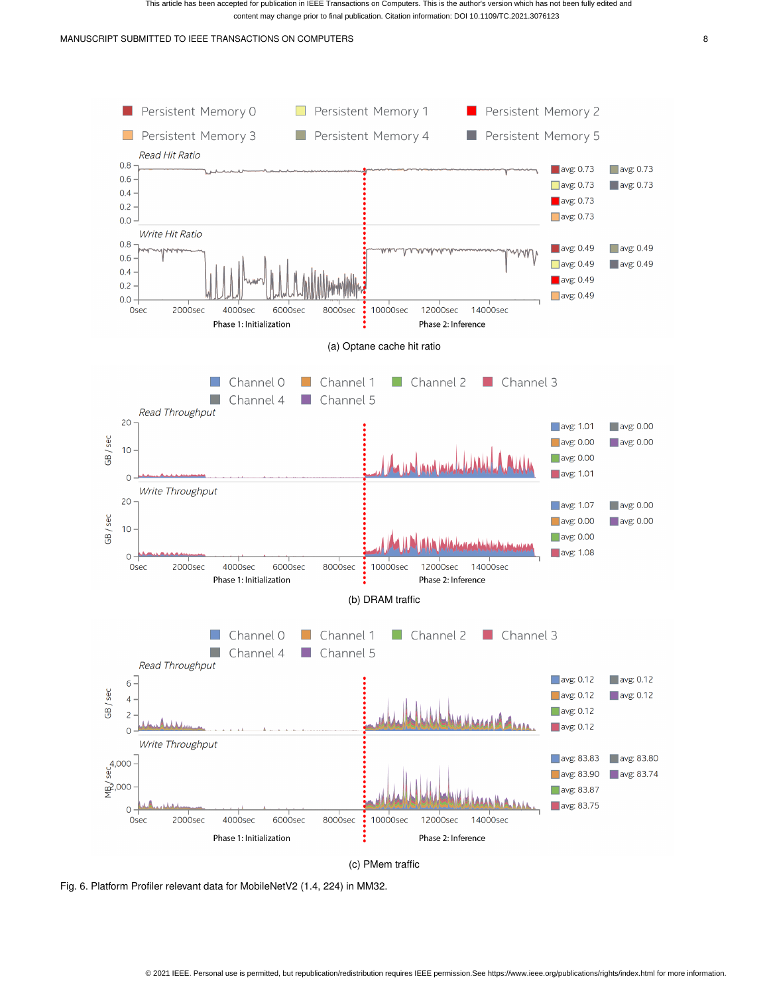<span id="page-7-2"></span><span id="page-7-1"></span>

(c) PMem traffic

<span id="page-7-3"></span><span id="page-7-0"></span>Fig. 6. Platform Profiler relevant data for MobileNetV2 (1.4, 224) in MM32.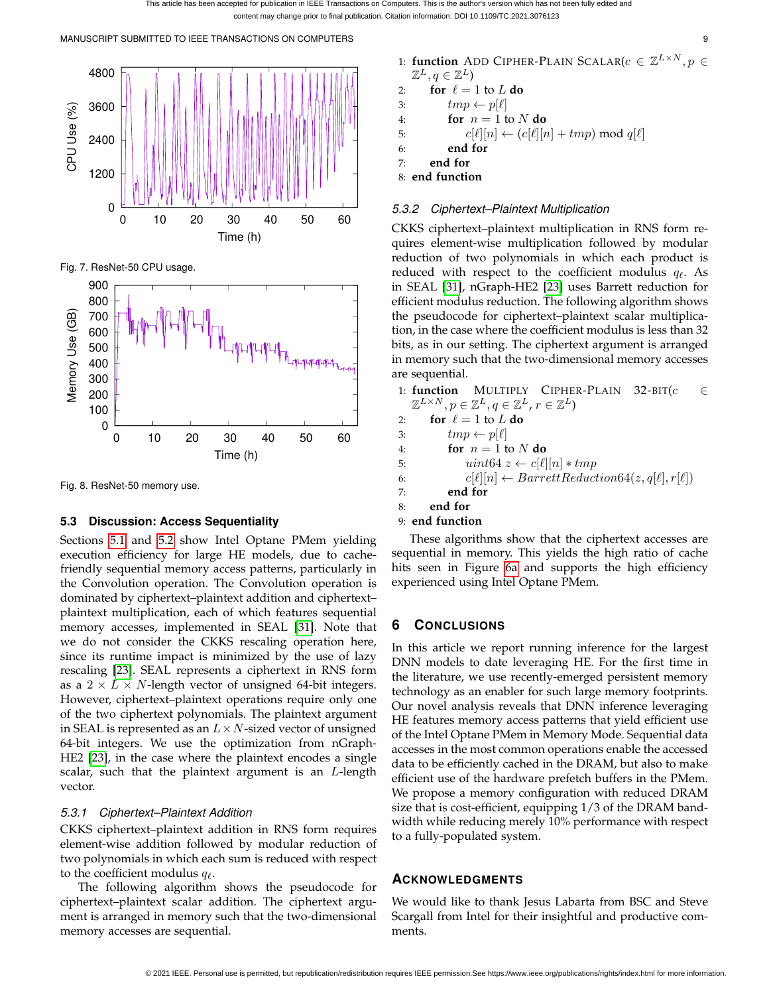MANUSCRIPT SUBMITTED TO IEEE TRANSACTIONS ON COMPUTERS 9



<span id="page-8-2"></span>Fig. 7. ResNet-50 CPU usage.



<span id="page-8-3"></span>Fig. 8. ResNet-50 memory use.

# <span id="page-8-1"></span>**5.3 Discussion: Access Sequentiality**

Sections [5.1](#page-4-5) and [5.2](#page-6-2) show Intel Optane PMem yielding execution efficiency for large HE models, due to cachefriendly sequential memory access patterns, particularly in the Convolution operation. The Convolution operation is dominated by ciphertext–plaintext addition and ciphertext– plaintext multiplication, each of which features sequential memory accesses, implemented in SEAL [\[31\]](#page-9-30). Note that we do not consider the CKKS rescaling operation here, since its runtime impact is minimized by the use of lazy rescaling [\[23\]](#page-9-22). SEAL represents a ciphertext in RNS form as a  $2 \times L \times N$ -length vector of unsigned 64-bit integers. However, ciphertext–plaintext operations require only one of the two ciphertext polynomials. The plaintext argument in SEAL is represented as an  $L \times N$ -sized vector of unsigned 64-bit integers. We use the optimization from nGraph-HE2 [\[23\]](#page-9-22), in the case where the plaintext encodes a single scalar, such that the plaintext argument is an L-length vector.

# *5.3.1 Ciphertext–Plaintext Addition*

CKKS ciphertext–plaintext addition in RNS form requires element-wise addition followed by modular reduction of two polynomials in which each sum is reduced with respect to the coefficient modulus  $q_{\ell}$ .

The following algorithm shows the pseudocode for ciphertext–plaintext scalar addition. The ciphertext argument is arranged in memory such that the two-dimensional memory accesses are sequential.

1: **function** ADD CIPHER-PLAIN SCALAR( $c \in \mathbb{Z}^{L \times N}$ ,  $p \in$  $\mathbb{Z}^L, q \in \mathbb{Z}^L$ 

2: for 
$$
\ell = 1
$$
 to L do

3:  $tmp \leftarrow p[\ell]$ 

4: **for**  $n = 1$  to N **do** 

5: 
$$
c[\ell][n] \leftarrow (c[\ell][n] + tmp) \text{ mod } q[\ell]
$$

6: **end for**

7: **end for**

8: **end function**

## *5.3.2 Ciphertext–Plaintext Multiplication*

CKKS ciphertext–plaintext multiplication in RNS form requires element-wise multiplication followed by modular reduction of two polynomials in which each product is reduced with respect to the coefficient modulus  $q_\ell$ . As in SEAL [\[31\]](#page-9-30), nGraph-HE2 [\[23\]](#page-9-22) uses Barrett reduction for efficient modulus reduction. The following algorithm shows the pseudocode for ciphertext–plaintext scalar multiplication, in the case where the coefficient modulus is less than 32 bits, as in our setting. The ciphertext argument is arranged in memory such that the two-dimensional memory accesses are sequential.

1: **function** MULTIPLY CIPHER-PLAIN 32-BIT $(c \in$  $\mathbb{Z}^{L\times N}, p\in\mathbb{Z}^{L}, q\in\mathbb{Z}^{L},$   $r\in\mathbb{Z}^{L})$ 

- 2: **for**  $\ell = 1$  to L **do**
- 3:  $tmp \leftarrow p[\ell]$
- 4: **for**  $n = 1$  to N **do**
- 5:  $\text{uint64 } z \leftarrow c[\ell][n] * \text{tmp}$
- 6:  $c[\ell][n] \leftarrow BarretReduction64(z, q[\ell], r[\ell])$
- 7: **end for**
- 8: **end for**
- 9: **end function**

These algorithms show that the ciphertext accesses are sequential in memory. This yields the high ratio of cache hits seen in Figure [6a](#page-7-1) and supports the high efficiency experienced using Intel Optane PMem.

# <span id="page-8-0"></span>**6 CONCLUSIONS**

In this article we report running inference for the largest DNN models to date leveraging HE. For the first time in the literature, we use recently-emerged persistent memory technology as an enabler for such large memory footprints. Our novel analysis reveals that DNN inference leveraging HE features memory access patterns that yield efficient use of the Intel Optane PMem in Memory Mode. Sequential data accesses in the most common operations enable the accessed data to be efficiently cached in the DRAM, but also to make efficient use of the hardware prefetch buffers in the PMem. We propose a memory configuration with reduced DRAM size that is cost-efficient, equipping 1/3 of the DRAM bandwidth while reducing merely 10% performance with respect to a fully-populated system.

# **ACKNOWLEDGMENTS**

We would like to thank Jesus Labarta from BSC and Steve Scargall from Intel for their insightful and productive comments.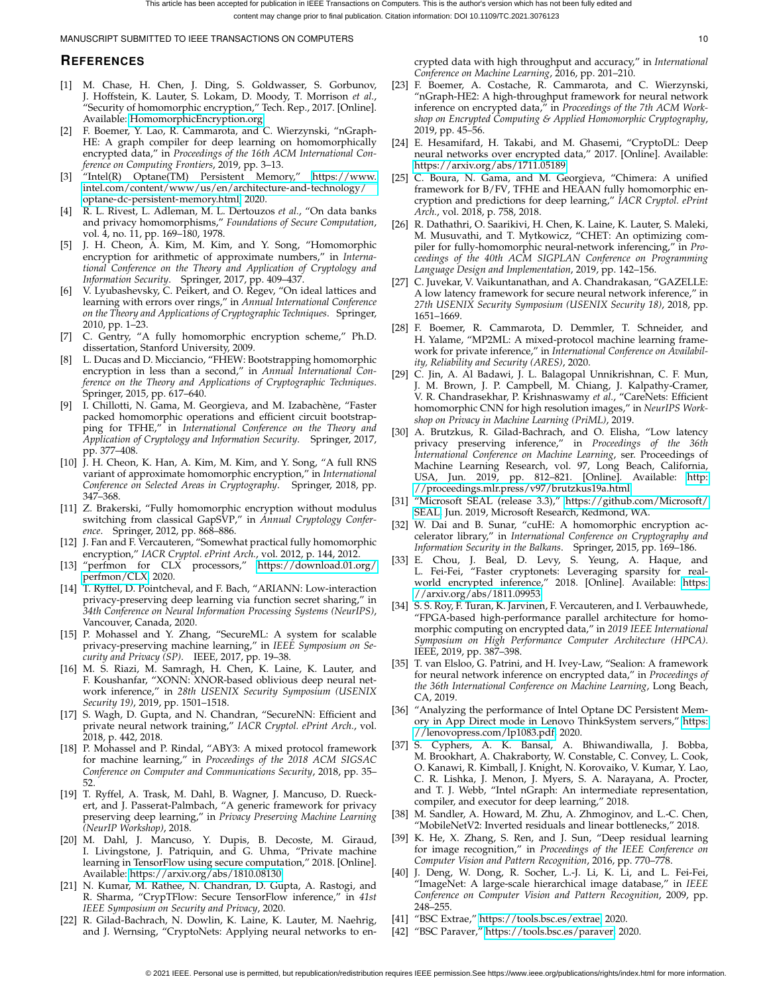## **REFERENCES**

- <span id="page-9-0"></span>[1] M. Chase, H. Chen, J. Ding, S. Goldwasser, S. Gorbunov, J. Hoffstein, K. Lauter, S. Lokam, D. Moody, T. Morrison *et al.*, "Security of homomorphic encryption," Tech. Rep., 2017. [Online]. Available:<HomomorphicEncryption.org>
- <span id="page-9-1"></span>[2] F. Boemer, Y. Lao, R. Cammarota, and C. Wierzynski, "nGraph-HE: A graph compiler for deep learning on homomorphically encrypted data," in *Proceedings of the 16th ACM International Conference on Computing Frontiers*, 2019, pp. 3–13.
- <span id="page-9-2"></span>[3] "Intel(R) Optane(TM) Persistent Memory," [https://www.](https://www.intel.com/content/www/us/en/architecture-and-technology/optane-dc-persistent-memory.html) [intel.com/content/www/us/en/architecture-and-technology/](https://www.intel.com/content/www/us/en/architecture-and-technology/optane-dc-persistent-memory.html) [optane-dc-persistent-memory.html,](https://www.intel.com/content/www/us/en/architecture-and-technology/optane-dc-persistent-memory.html) 2020.
- <span id="page-9-3"></span>[4] R. L. Rivest, L. Adleman, M. L. Dertouzos *et al.*, "On data banks and privacy homomorphisms," *Foundations of Secure Computation*, vol. 4, no. 11, pp. 169–180, 1978.
- <span id="page-9-4"></span>[5] J. H. Cheon, A. Kim, M. Kim, and Y. Song, "Homomorphic encryption for arithmetic of approximate numbers," in *International Conference on the Theory and Application of Cryptology and Information Security*. Springer, 2017, pp. 409–437.
- <span id="page-9-5"></span>[6] V. Lyubashevsky, C. Peikert, and O. Regev, "On ideal lattices and learning with errors over rings," in *Annual International Conference on the Theory and Applications of Cryptographic Techniques*. Springer, 2010, pp. 1–23.
- <span id="page-9-6"></span>C. Gentry, "A fully homomorphic encryption scheme," Ph.D. dissertation, Stanford University, 2009.
- <span id="page-9-7"></span>[8] L. Ducas and D. Micciancio, "FHEW: Bootstrapping homomorphic encryption in less than a second," in *Annual International Conference on the Theory and Applications of Cryptographic Techniques*. Springer, 2015, pp. 617–640.
- <span id="page-9-8"></span>[9] I. Chillotti, N. Gama, M. Georgieva, and M. Izabachène, "Faster packed homomorphic operations and efficient circuit bootstrapping for TFHE," in *International Conference on the Theory and Application of Cryptology and Information Security*. Springer, 2017, pp. 377–408.
- <span id="page-9-9"></span>[10] J. H. Cheon, K. Han, A. Kim, M. Kim, and Y. Song, "A full RNS variant of approximate homomorphic encryption," in *International Conference on Selected Areas in Cryptography*. Springer, 2018, pp. 347–368.
- <span id="page-9-10"></span>[11] Z. Brakerski, "Fully homomorphic encryption without modulus switching from classical GapSVP," in *Annual Cryptology Conference*. Springer, 2012, pp. 868–886.
- <span id="page-9-11"></span>[12] J. Fan and F. Vercauteren, "Somewhat practical fully homomorphic encryption," *IACR Cryptol. ePrint Arch.*, vol. 2012, p. 144, 2012.
- <span id="page-9-12"></span>[13] "perfmon for CLX processors," [https://download.01.org/](https://download.01.org/perfmon/CLX) [perfmon/CLX,](https://download.01.org/perfmon/CLX) 2020.
- <span id="page-9-13"></span>[14] T. Ryffel, D. Pointcheval, and F. Bach, "ARIANN: Low-interaction privacy-preserving deep learning via function secret sharing," in *34th Conference on Neural Information Processing Systems (NeurIPS)*, Vancouver, Canada, 2020.
- <span id="page-9-14"></span>[15] P. Mohassel and Y. Zhang, "SecureML: A system for scalable privacy-preserving machine learning," in *IEEE Symposium on Security and Privacy (SP)*. IEEE, 2017, pp. 19–38.
- <span id="page-9-15"></span>[16] M. S. Riazi, M. Samragh, H. Chen, K. Laine, K. Lauter, and F. Koushanfar, "XONN: XNOR-based oblivious deep neural network inference," in *28th USENIX Security Symposium (USENIX Security 19)*, 2019, pp. 1501–1518.
- <span id="page-9-16"></span>[17] S. Wagh, D. Gupta, and N. Chandran, "SecureNN: Efficient and private neural network training," *IACR Cryptol. ePrint Arch.*, vol. 2018, p. 442, 2018.
- <span id="page-9-17"></span>[18] P. Mohassel and P. Rindal, "ABY3: A mixed protocol framework for machine learning," in *Proceedings of the 2018 ACM SIGSAC Conference on Computer and Communications Security*, 2018, pp. 35– 52.
- <span id="page-9-18"></span>[19] T. Ryffel, A. Trask, M. Dahl, B. Wagner, J. Mancuso, D. Rueckert, and J. Passerat-Palmbach, "A generic framework for privacy preserving deep learning," in *Privacy Preserving Machine Learning (NeurIP Workshop)*, 2018.
- <span id="page-9-19"></span>[20] M. Dahl, J. Mancuso, Y. Dupis, B. Decoste, M. Giraud, I. Livingstone, J. Patriquin, and G. Uhma, "Private machine learning in TensorFlow using secure computation," 2018. [Online]. Available:<https://arxiv.org/abs/1810.08130>
- <span id="page-9-20"></span>[21] N. Kumar, M. Rathee, N. Chandran, D. Gupta, A. Rastogi, and R. Sharma, "CrypTFlow: Secure TensorFlow inference," in *41st IEEE Symposium on Security and Privacy*, 2020.
- <span id="page-9-21"></span>[22] R. Gilad-Bachrach, N. Dowlin, K. Laine, K. Lauter, M. Naehrig, and J. Wernsing, "CryptoNets: Applying neural networks to en-

crypted data with high throughput and accuracy," in *International Conference on Machine Learning*, 2016, pp. 201–210.

- <span id="page-9-22"></span>[23] F. Boemer, A. Costache, R. Cammarota, and C. Wierzynski, "nGraph-HE2: A high-throughput framework for neural network inference on encrypted data," in *Proceedings of the 7th ACM Workshop on Encrypted Computing & Applied Homomorphic Cryptography*, 2019, pp. 45–56.
- <span id="page-9-23"></span>[24] E. Hesamifard, H. Takabi, and M. Ghasemi, "CryptoDL: Deep neural networks over encrypted data," 2017. [Online]. Available: <https://arxiv.org/abs/1711.05189>
- <span id="page-9-24"></span>[25] C. Boura, N. Gama, and M. Georgieva, "Chimera: A unified framework for B/FV, TFHE and HEAAN fully homomorphic encryption and predictions for deep learning," *IACR Cryptol. ePrint Arch.*, vol. 2018, p. 758, 2018.
- <span id="page-9-25"></span>[26] R. Dathathri, O. Saarikivi, H. Chen, K. Laine, K. Lauter, S. Maleki, M. Musuvathi, and T. Mytkowicz, "CHET: An optimizing compiler for fully-homomorphic neural-network inferencing," in *Proceedings of the 40th ACM SIGPLAN Conference on Programming Language Design and Implementation*, 2019, pp. 142–156.
- <span id="page-9-26"></span>[27] C. Juvekar, V. Vaikuntanathan, and A. Chandrakasan, "GAZELLE: A low latency framework for secure neural network inference," in *27th USENIX Security Symposium (USENIX Security 18)*, 2018, pp. 1651–1669.
- <span id="page-9-27"></span>[28] F. Boemer, R. Cammarota, D. Demmler, T. Schneider, and H. Yalame, "MP2ML: A mixed-protocol machine learning framework for private inference," in *International Conference on Availability, Reliability and Security (ARES)*, 2020.
- <span id="page-9-28"></span>[29] C. Jin, A. Al Badawi, J. L. Balagopal Unnikrishnan, C. F. Mun, J. M. Brown, J. P. Campbell, M. Chiang, J. Kalpathy-Cramer, V. R. Chandrasekhar, P. Krishnaswamy *et al.*, "CareNets: Efficient homomorphic CNN for high resolution images," in *NeurIPS Workshop on Privacy in Machine Learning (PriML)*, 2019.
- <span id="page-9-29"></span>[30] A. Brutzkus, R. Gilad-Bachrach, and O. Elisha, "Low latency privacy preserving inference," in *Proceedings of the 36th International Conference on Machine Learning*, ser. Proceedings of Machine Learning Research, vol. 97, Long Beach, California, USA, Jun. 2019, pp. 812–821. [Online]. Available: [http:](http://proceedings.mlr.press/v97/brutzkus19a.html) [//proceedings.mlr.press/v97/brutzkus19a.html](http://proceedings.mlr.press/v97/brutzkus19a.html)
- <span id="page-9-30"></span>[31] "Microsoft SEAL (release 3.3)," [https://github.com/Microsoft/](https://github.com/Microsoft/SEAL) [SEAL,](https://github.com/Microsoft/SEAL) Jun. 2019, Microsoft Research, Redmond, WA.
- <span id="page-9-31"></span>[32] W. Dai and B. Sunar, "cuHE: A homomorphic encryption accelerator library," in *International Conference on Cryptography and Information Security in the Balkans*. Springer, 2015, pp. 169–186.
- <span id="page-9-32"></span>[33] E. Chou, J. Beal, D. Levy, S. Yeung, A. Haque, and L. Fei-Fei, "Faster cryptonets: Leveraging sparsity for realworld encrypted inference," 2018. [Online]. Available: [https:](https://arxiv.org/abs/1811.09953) [//arxiv.org/abs/1811.09953](https://arxiv.org/abs/1811.09953)
- <span id="page-9-33"></span>[34] S. S. Roy, F. Turan, K. Jarvinen, F. Vercauteren, and I. Verbauwhede, "FPGA-based high-performance parallel architecture for homomorphic computing on encrypted data," in *2019 IEEE International Symposium on High Performance Computer Architecture (HPCA)*. IEEE, 2019, pp. 387–398.
- <span id="page-9-34"></span>[35] T. van Elsloo, G. Patrini, and H. Ivey-Law, "Sealion: A framework for neural network inference on encrypted data," in *Proceedings of the 36th International Conference on Machine Learning*, Long Beach, CA, 2019.
- <span id="page-9-35"></span>[36] "Analyzing the performance of Intel Optane DC Persistent Memory in App Direct mode in Lenovo ThinkSystem servers," [https:](https://lenovopress.com/lp1083.pdf) [//lenovopress.com/lp1083.pdf,](https://lenovopress.com/lp1083.pdf) 2020.
- <span id="page-9-36"></span>[37] S. Cyphers, A. K. Bansal, A. Bhiwandiwalla, J. Bobba, M. Brookhart, A. Chakraborty, W. Constable, C. Convey, L. Cook, O. Kanawi, R. Kimball, J. Knight, N. Korovaiko, V. Kumar, Y. Lao, C. R. Lishka, J. Menon, J. Myers, S. A. Narayana, A. Procter, and T. J. Webb, "Intel nGraph: An intermediate representation, compiler, and executor for deep learning," 2018.
- <span id="page-9-37"></span>[38] M. Sandler, A. Howard, M. Zhu, A. Zhmoginov, and L.-C. Chen, "MobileNetV2: Inverted residuals and linear bottlenecks," 2018.
- <span id="page-9-38"></span>[39] K. He, X. Zhang, S. Ren, and J. Sun, "Deep residual learning for image recognition," in *Proceedings of the IEEE Conference on Computer Vision and Pattern Recognition*, 2016, pp. 770–778.
- <span id="page-9-39"></span>[40] J. Deng, W. Dong, R. Socher, L.-J. Li, K. Li, and L. Fei-Fei, "ImageNet: A large-scale hierarchical image database," in *IEEE Conference on Computer Vision and Pattern Recognition*, 2009, pp. 248–255.
- <span id="page-9-40"></span>[41] "BSC Extrae," [https://tools.bsc.es/extrae,](https://tools.bsc.es/extrae) 2020.
- <span id="page-9-41"></span>[42] "BSC Paraver," [https://tools.bsc.es/paraver,](https://tools.bsc.es/paraver) 2020.